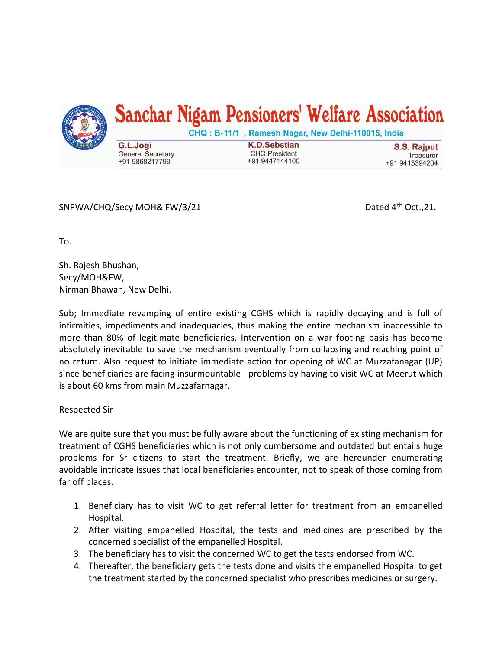

SNPWA/CHQ/Secy MOH& FW/3/21 Dated  $4<sup>th</sup>$  Oct., 21.

To.

Sh. Rajesh Bhushan, Secy/MOH&FW, Nirman Bhawan, New Delhi.

Sub; Immediate revamping of entire existing CGHS which is rapidly decaying and is full of infirmities, impediments and inadequacies, thus making the entire mechanism inaccessible to more than 80% of legitimate beneficiaries. Intervention on a war footing basis has become absolutely inevitable to save the mechanism eventually from collapsing and reaching point of no return. Also request to initiate immediate action for opening of WC at Muzzafanagar (UP) since beneficiaries are facing insurmountable problems by having to visit WC at Meerut which is about 60 kms from main Muzzafarnagar.

Respected Sir

We are quite sure that you must be fully aware about the functioning of existing mechanism for treatment of CGHS beneficiaries which is not only cumbersome and outdated but entails huge problems for Sr citizens to start the treatment. Briefly, we are hereunder enumerating avoidable intricate issues that local beneficiaries encounter, not to speak of those coming from far off places.

- 1. Beneficiary has to visit WC to get referral letter for treatment from an empanelled Hospital.
- 2. After visiting empanelled Hospital, the tests and medicines are prescribed by the concerned specialist of the empanelled Hospital.
- 3. The beneficiary has to visit the concerned WC to get the tests endorsed from WC.
- 4. Thereafter, the beneficiary gets the tests done and visits the empanelled Hospital to get the treatment started by the concerned specialist who prescribes medicines or surgery.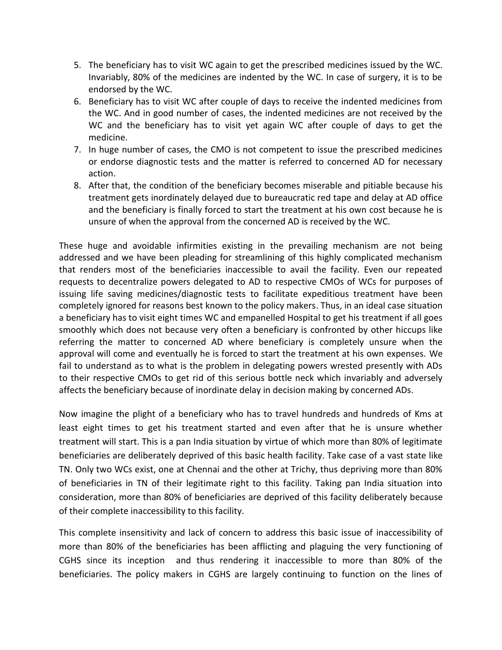- 5. The beneficiary has to visit WC again to get the prescribed medicines issued by the WC. Invariably, 80% of the medicines are indented by the WC. In case of surgery, it is to be endorsed by the WC.
- 6. Beneficiary has to visit WC after couple of days to receive the indented medicines from the WC. And in good number of cases, the indented medicines are not received by the WC and the beneficiary has to visit yet again WC after couple of days to get the medicine.
- 7. In huge number of cases, the CMO is not competent to issue the prescribed medicines or endorse diagnostic tests and the matter is referred to concerned AD for necessary action.
- 8. After that, the condition of the beneficiary becomes miserable and pitiable because his treatment gets inordinately delayed due to bureaucratic red tape and delay at AD office and the beneficiary is finally forced to start the treatment at his own cost because he is unsure of when the approval from the concerned AD is received by the WC.

These huge and avoidable infirmities existing in the prevailing mechanism are not being addressed and we have been pleading for streamlining of this highly complicated mechanism that renders most of the beneficiaries inaccessible to avail the facility. Even our repeated requests to decentralize powers delegated to AD to respective CMOs of WCs for purposes of issuing life saving medicines/diagnostic tests to facilitate expeditious treatment have been completely ignored for reasons best known to the policy makers. Thus, in an ideal case situation a beneficiary has to visit eight times WC and empanelled Hospital to get his treatment if all goes smoothly which does not because very often a beneficiary is confronted by other hiccups like referring the matter to concerned AD where beneficiary is completely unsure when the approval will come and eventually he is forced to start the treatment at his own expenses. We fail to understand as to what is the problem in delegating powers wrested presently with ADs to their respective CMOs to get rid of this serious bottle neck which invariably and adversely affects the beneficiary because of inordinate delay in decision making by concerned ADs.

Now imagine the plight of a beneficiary who has to travel hundreds and hundreds of Kms at least eight times to get his treatment started and even after that he is unsure whether treatment will start. This is a pan India situation by virtue of which more than 80% of legitimate beneficiaries are deliberately deprived of this basic health facility. Take case of a vast state like TN. Only two WCs exist, one at Chennai and the other at Trichy, thus depriving more than 80% of beneficiaries in TN of their legitimate right to this facility. Taking pan India situation into consideration, more than 80% of beneficiaries are deprived of this facility deliberately because of their complete inaccessibility to this facility.

This complete insensitivity and lack of concern to address this basic issue of inaccessibility of more than 80% of the beneficiaries has been afflicting and plaguing the very functioning of CGHS since its inception and thus rendering it inaccessible to more than 80% of the beneficiaries. The policy makers in CGHS are largely continuing to function on the lines of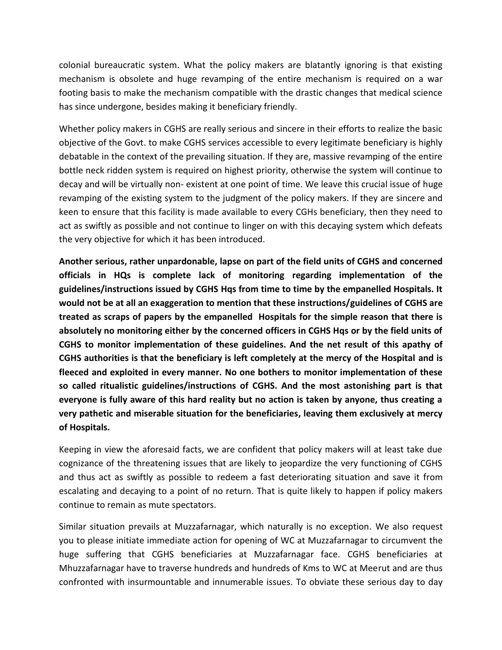colonial bureaucratic system. What the policy makers are blatantly ignoring is that existing mechanism is obsolete and huge revamping of the entire mechanism is required on a war footing basis to make the mechanism compatible with the drastic changes that medical science has since undergone, besides making it beneficiary friendly.

Whether policy makers in CGHS are really serious and sincere in their efforts to realize the basic objective of the Govt. to make CGHS services accessible to every legitimate beneficiary is highly debatable in the context of the prevailing situation. If they are, massive revamping of the entire bottle neck ridden system is required on highest priority, otherwise the system will continue to decay and will be virtually non- existent at one point of time. We leave this crucial issue of huge revamping of the existing system to the judgment of the policy makers. If they are sincere and keen to ensure that this facility is made available to every CGHs beneficiary, then they need to act as swiftly as possible and not continue to linger on with this decaying system which defeats the very objective for which it has been introduced.

**Another serious, rather unpardonable, lapse on part of the field units of CGHS and concerned officials in HQs is complete lack of monitoring regarding implementation of the guidelines/instructions issued by CGHS Hqs from time to time by the empanelled Hospitals. It would not be at all an exaggeration to mention that these instructions/guidelines of CGHS are treated as scraps of papers by the empanelled Hospitals for the simple reason that there is absolutely no monitoring either by the concerned officers in CGHS Hqs or by the field units of CGHS to monitor implementation of these guidelines. And the net result of this apathy of CGHS authorities is that the beneficiary is left completely at the mercy of the Hospital and is fleeced and exploited in every manner. No one bothers to monitor implementation of these so called ritualistic guidelines/instructions of CGHS. And the most astonishing part is that everyone is fully aware of this hard reality but no action is taken by anyone, thus creating a very pathetic and miserable situation for the beneficiaries, leaving them exclusively at mercy of Hospitals.**

Keeping in view the aforesaid facts, we are confident that policy makers will at least take due cognizance of the threatening issues that are likely to jeopardize the very functioning of CGHS and thus act as swiftly as possible to redeem a fast deteriorating situation and save it from escalating and decaying to a point of no return. That is quite likely to happen if policy makers continue to remain as mute spectators.

Similar situation prevails at Muzzafarnagar, which naturally is no exception. We also request you to please initiate immediate action for opening of WC at Muzzafarnagar to circumvent the huge suffering that CGHS beneficiaries at Muzzafarnagar face. CGHS beneficiaries at Mhuzzafarnagar have to traverse hundreds and hundreds of Kms to WC at Meerut and are thus confronted with insurmountable and innumerable issues. To obviate these serious day to day